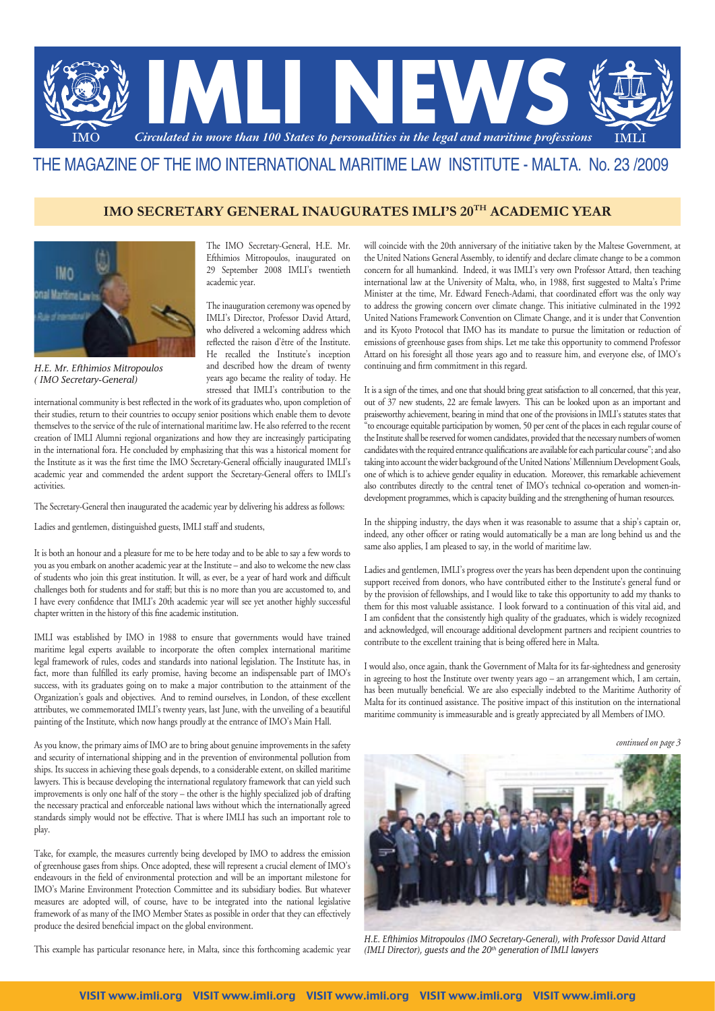

# THE MAGAZINE OF THE IMO INTERNATIONAL MARITIME LAW INSTITUTE - MALTA. No. 23 /2009

# **IMO SECRETARY GENERAL INAUGURATES IMLI'S 20TH ACADEMIC YEAR**



*H.E. Mr. Efthimios Mitropoulos ( IMO Secretary-General)*

The IMO Secretary-General, H.E. Mr. Efthimios Mitropoulos, inaugurated on 29 September 2008 IMLI's twentieth academic year.

The inauguration ceremony was opened by IMLI's Director, Professor David Attard, who delivered a welcoming address which reflected the raison d'être of the Institute. He recalled the Institute's inception and described how the dream of twenty years ago became the reality of today. He stressed that IMLI's contribution to the

international community is best reflected in the work of its graduates who, upon completion of their studies, return to their countries to occupy senior positions which enable them to devote themselves to the service of the rule of international maritime law. He also referred to the recent creation of IMLI Alumni regional organizations and how they are increasingly participating in the international fora. He concluded by emphasizing that this was a historical moment for the Institute as it was the first time the IMO Secretary-General officially inaugurated IMLI's academic year and commended the ardent support the Secretary-General offers to IMLI's activities.

The Secretary-General then inaugurated the academic year by delivering his address as follows:

Ladies and gentlemen, distinguished guests, IMLI staff and students,

It is both an honour and a pleasure for me to be here today and to be able to say a few words to you as you embark on another academic year at the Institute – and also to welcome the new class of students who join this great institution. It will, as ever, be a year of hard work and difficult challenges both for students and for staff; but this is no more than you are accustomed to, and I have every confidence that IMLI's 20th academic year will see yet another highly successful chapter written in the history of this fine academic institution.

IMLI was established by IMO in 1988 to ensure that governments would have trained maritime legal experts available to incorporate the often complex international maritime legal framework of rules, codes and standards into national legislation. The Institute has, in fact, more than fulfilled its early promise, having become an indispensable part of IMO's success, with its graduates going on to make a major contribution to the attainment of the Organization's goals and objectives. And to remind ourselves, in London, of these excellent attributes, we commemorated IMLI's twenty years, last June, with the unveiling of a beautiful painting of the Institute, which now hangs proudly at the entrance of IMO's Main Hall.

As you know, the primary aims of IMO are to bring about genuine improvements in the safety and security of international shipping and in the prevention of environmental pollution from ships. Its success in achieving these goals depends, to a considerable extent, on skilled maritime lawyers. This is because developing the international regulatory framework that can yield such improvements is only one half of the story – the other is the highly specialized job of drafting the necessary practical and enforceable national laws without which the internationally agreed standards simply would not be effective. That is where IMLI has such an important role to play.

Take, for example, the measures currently being developed by IMO to address the emission of greenhouse gases from ships. Once adopted, these will represent a crucial element of IMO's endeavours in the field of environmental protection and will be an important milestone for IMO's Marine Environment Protection Committee and its subsidiary bodies. But whatever measures are adopted will, of course, have to be integrated into the national legislative framework of as many of the IMO Member States as possible in order that they can effectively produce the desired beneficial impact on the global environment.

This example has particular resonance here, in Malta, since this forthcoming academic year

will coincide with the 20th anniversary of the initiative taken by the Maltese Government, at the United Nations General Assembly, to identify and declare climate change to be a common concern for all humankind. Indeed, it was IMLI's very own Professor Attard, then teaching international law at the University of Malta, who, in 1988, first suggested to Malta's Prime Minister at the time, Mr. Edward Fenech-Adami, that coordinated effort was the only way to address the growing concern over climate change. This initiative culminated in the 1992 United Nations Framework Convention on Climate Change, and it is under that Convention and its Kyoto Protocol that IMO has its mandate to pursue the limitation or reduction of emissions of greenhouse gases from ships. Let me take this opportunity to commend Professor Attard on his foresight all those years ago and to reassure him, and everyone else, of IMO's continuing and firm commitment in this regard.

It is a sign of the times, and one that should bring great satisfaction to all concerned, that this year, out of 37 new students, 22 are female lawyers. This can be looked upon as an important and praiseworthy achievement, bearing in mind that one of the provisions in IMLI's statutes states that "to encourage equitable participation by women, 50 per cent of the places in each regular course of the Institute shall be reserved for women candidates, provided that the necessary numbers of women candidates with the required entrance qualifications are available for each particular course"; and also taking into account the wider background of the United Nations' Millennium Development Goals, one of which is to achieve gender equality in education. Moreover, this remarkable achievement also contributes directly to the central tenet of IMO's technical co-operation and women-indevelopment programmes, which is capacity building and the strengthening of human resources.

In the shipping industry, the days when it was reasonable to assume that a ship's captain or, indeed, any other officer or rating would automatically be a man are long behind us and the same also applies, I am pleased to say, in the world of maritime law.

Ladies and gentlemen, IMLI's progress over the years has been dependent upon the continuing support received from donors, who have contributed either to the Institute's general fund or by the provision of fellowships, and I would like to take this opportunity to add my thanks to them for this most valuable assistance. I look forward to a continuation of this vital aid, and I am confident that the consistently high quality of the graduates, which is widely recognized and acknowledged, will encourage additional development partners and recipient countries to contribute to the excellent training that is being offered here in Malta.

I would also, once again, thank the Government of Malta for its far-sightedness and generosity in agreeing to host the Institute over twenty years ago – an arrangement which, I am certain, has been mutually beneficial. We are also especially indebted to the Maritime Authority of Malta for its continued assistance. The positive impact of this institution on the international maritime community is immeasurable and is greatly appreciated by all Members of IMO.

*continued on page 3*



*H.E. Efthimios Mitropoulos (IMO Secretary-General), with Professor David Attard (IMLI Director), guests and the 20th generation of IMLI lawyers*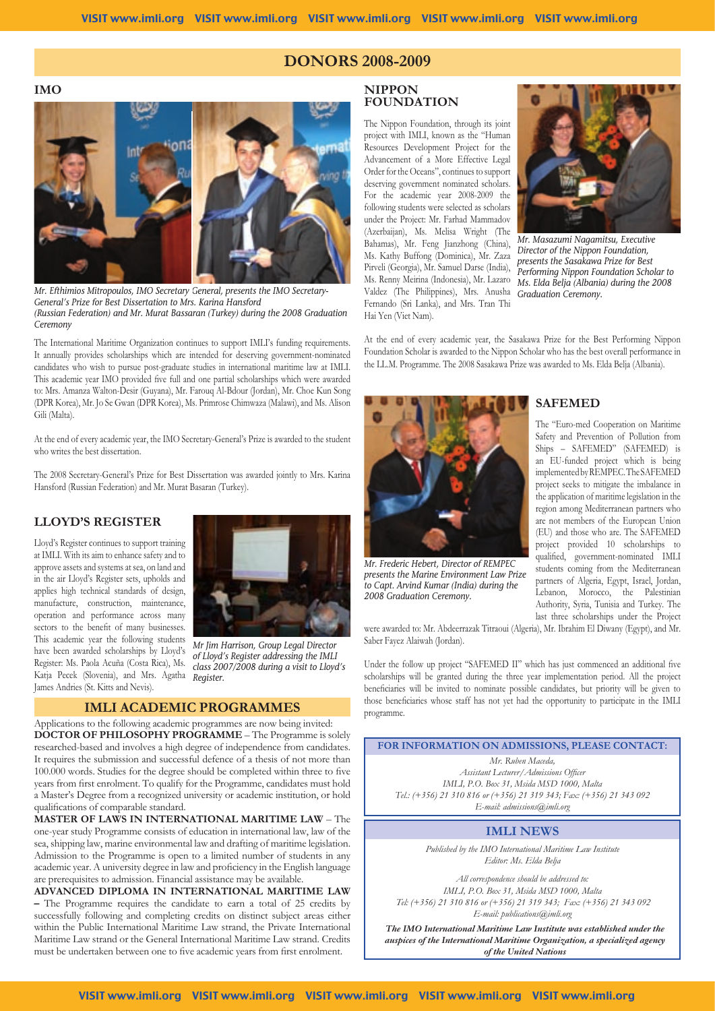## **DONORS 2008-2009**

**IMO**



*Mr. Efthimios Mitropoulos, IMO Secretary General, presents the IMO Secretary-General's Prize for Best Dissertation to Mrs. Karina Hansford (Russian Federation) and Mr. Murat Bassaran (Turkey) during the 2008 Graduation Ceremony* 

The International Maritime Organization continues to support IMLI's funding requirements. It annually provides scholarships which are intended for deserving government-nominated candidates who wish to pursue post-graduate studies in international maritime law at IMLI. This academic year IMO provided five full and one partial scholarships which were awarded to: Mrs. Amanza Walton-Desir (Guyana), Mr. Farouq Al-Bdour (Jordan), Mr. Choe Kun Song (DPR Korea), Mr. Jo Se Gwan (DPR Korea), Ms. Primrose Chimwaza (Malawi), and Ms. Alison Gili (Malta).

At the end of every academic year, the IMO Secretary-General's Prize is awarded to the student who writes the best dissertation.

The 2008 Secretary-General's Prize for Best Dissertation was awarded jointly to Mrs. Karina Hansford (Russian Federation) and Mr. Murat Basaran (Turkey).

## **LLOYD'S REGISTER**

Lloyd's Register continues to support training at IMLI. With its aim to enhance safety and to approve assets and systems at sea, on land and in the air Lloyd's Register sets, upholds and applies high technical standards of design, manufacture, construction, maintenance, operation and performance across many sectors to the benefit of many businesses. This academic year the following students have been awarded scholarships by Lloyd's Register: Ms. Paola Acuña (Costa Rica), Ms. Katja Pecek (Slovenia), and Mrs. Agatha James Andries (St. Kitts and Nevis).



*Mr Jim Harrison, Group Legal Director of Lloyd's Register addressing the IMLI class 2007/2008 during a visit to Lloyd's Register.*

#### **IMLI ACADEMIC PROGRAMMES**

Applications to the following academic programmes are now being invited: **DOCTOR OF PHILOSOPHY PROGRAMME** – The Programme is solely researched-based and involves a high degree of independence from candidates. It requires the submission and successful defence of a thesis of not more than 100.000 words. Studies for the degree should be completed within three to five years from first enrolment. To qualify for the Programme, candidates must hold a Master's Degree from a recognized university or academic institution, or hold qualifications of comparable standard.

**MASTER OF LAWS IN INTERNATIONAL MARITIME LAW** – The one-year study Programme consists of education in international law, law of the sea, shipping law, marine environmental law and drafting of maritime legislation. Admission to the Programme is open to a limited number of students in any academic year. A university degree in law and proficiency in the English language are prerequisites to admission. Financial assistance may be available.

**ADVANCED DIPLOMA IN INTERNATIONAL MARITIME LAW –** The Programme requires the candidate to earn a total of 25 credits by successfully following and completing credits on distinct subject areas either within the Public International Maritime Law strand, the Private International Maritime Law strand or the General International Maritime Law strand. Credits must be undertaken between one to five academic years from first enrolment.

### **NIPPON FOUNDATION**

The Nippon Foundation, through its joint project with IMLI, known as the "Human Resources Development Project for the Advancement of a More Effective Legal Order for the Oceans", continues to support deserving government nominated scholars. For the academic year 2008-2009 the following students were selected as scholars under the Project: Mr. Farhad Mammadov (Azerbaijan), Ms. Melisa Wright (The Bahamas), Mr. Feng Jianzhong (China), Ms. Kathy Buffong (Dominica), Mr. Zaza Pirveli (Georgia), Mr. Samuel Darse (India), Valdez (The Philippines), Mrs. Anusha *Graduation Ceremony.* Fernando (Sri Lanka), and Mrs. Tran Thi Hai Yen (Viet Nam).



Ms. Renny Meirina (Indonesia), Mr. Lazaro *Ms. Elda Belja (Albania) during the 2008 Mr. Masazumi Nagamitsu, Executive Director of the Nippon Foundation, presents the Sasakawa Prize for Best Performing Nippon Foundation Scholar to* 

At the end of every academic year, the Sasakawa Prize for the Best Performing Nippon Foundation Scholar is awarded to the Nippon Scholar who has the best overall performance in the LL.M. Programme. The 2008 Sasakawa Prize was awarded to Ms. Elda Belja (Albania).



*Mr. Frederic Hebert, Director of REMPEC presents the Marine Environment Law Prize to Capt. Arvind Kumar (India) during the 2008 Graduation Ceremony.*

#### **SAFEMED**

The "Euro-med Cooperation on Maritime Safety and Prevention of Pollution from Ships – SAFEMED" (SAFEMED) is an EU-funded project which is being implemented by REMPEC. The SAFEMED project seeks to mitigate the imbalance in the application of maritime legislation in the region among Mediterranean partners who are not members of the European Union (EU) and those who are. The SAFEMED project provided 10 scholarships to qualified, government-nominated IMLI students coming from the Mediterranean partners of Algeria, Egypt, Israel, Jordan, Lebanon, Morocco, the Palestinian Authority, Syria, Tunisia and Turkey. The last three scholarships under the Project

were awarded to: Mr. Abdeerrazak Titraoui (Algeria), Mr. Ibrahim El Diwany (Egypt), and Mr. Saber Fayez Alaiwah (Jordan).

Under the follow up project "SAFEMED II" which has just commenced an additional five scholarships will be granted during the three year implementation period. All the project beneficiaries will be invited to nominate possible candidates, but priority will be given to those beneficiaries whose staff has not yet had the opportunity to participate in the IMLI programme.

## **FOR INFORMATION ON ADMISSIONS, PLEASE CONTACT:** *Mr. Ruben Maceda, Assistant Lecturer/Admissions Officer IMLI, P.O. Box 31, Msida MSD 1000, Malta Tel.: (+356) 21 310 816 or (+356) 21 319 343; Fax: (+356) 21 343 092 E-mail: admissions@imli.org*  **IMLI NEWS** *Published by the IMO International Maritime Law Institute Editor: Ms. Elda Belja All correspondence should be addressed to: IMLI, P.O. Box 31, Msida MSD 1000, Malta Tel: (+356) 21 310 816 or (+356) 21 319 343; Fax: (+356) 21 343 092*

*E-mail: publications@imli.org The IMO International Maritime Law Institute was established under the auspices of the International Maritime Organization, a specialized agency* 

*of the United Nations*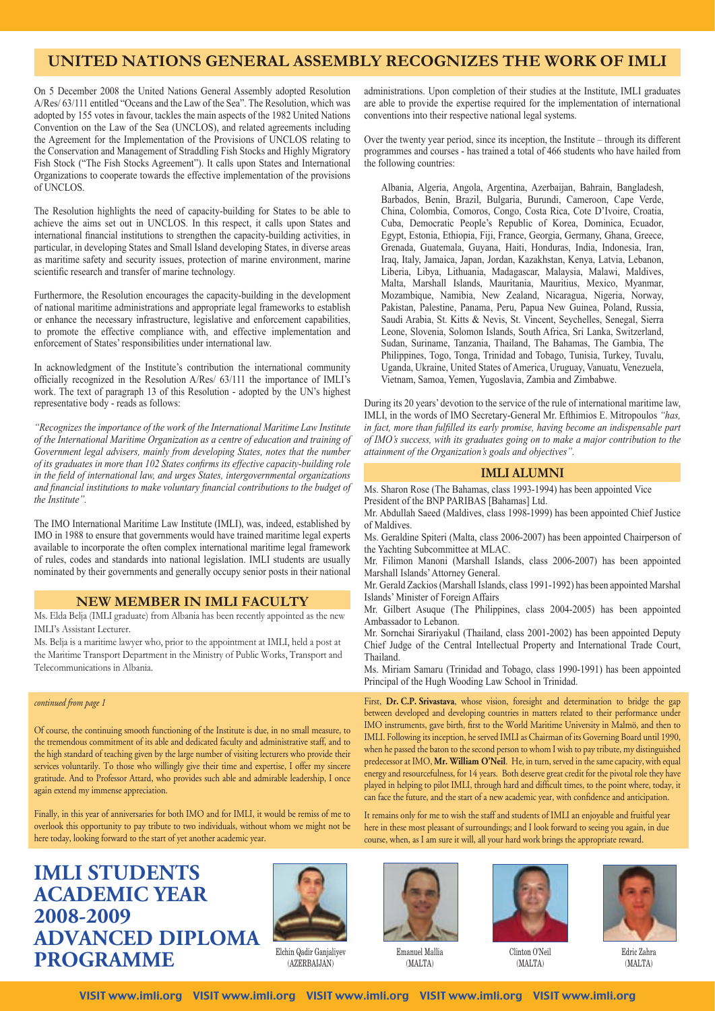# **UNITED NATIONS GENERAL ASSEMBLY RECOGNIZES THE WORK OF IMLI**

On 5 December 2008 the United Nations General Assembly adopted Resolution A/Res/ 63/111 entitled "Oceans and the Law of the Sea". The Resolution, which was adopted by 155 votes in favour, tackles the main aspects of the 1982 United Nations Convention on the Law of the Sea (UNCLOS), and related agreements including the Agreement for the Implementation of the Provisions of UNCLOS relating to the Conservation and Management of Straddling Fish Stocks and Highly Migratory Fish Stock ("The Fish Stocks Agreement"). It calls upon States and International Organizations to cooperate towards the effective implementation of the provisions of UNCLOS.

The Resolution highlights the need of capacity-building for States to be able to achieve the aims set out in UNCLOS. In this respect, it calls upon States and international financial institutions to strengthen the capacity-building activities, in particular, in developing States and Small Island developing States, in diverse areas as maritime safety and security issues, protection of marine environment, marine scientific research and transfer of marine technology.

Furthermore, the Resolution encourages the capacity-building in the development of national maritime administrations and appropriate legal frameworks to establish or enhance the necessary infrastructure, legislative and enforcement capabilities, to promote the effective compliance with, and effective implementation and enforcement of States' responsibilities under international law.

In acknowledgment of the Institute's contribution the international community officially recognized in the Resolution A/Res/ 63/111 the importance of IMLI's work. The text of paragraph 13 of this Resolution - adopted by the UN's highest representative body - reads as follows:

*"Recognizes the importance of the work of the International Maritime Law Institute of the International Maritime Organization as a centre of education and training of Government legal advisers, mainly from developing States, notes that the number of its graduates in more than 102 States confirms its effective capacity-building role in the field of international law, and urges States, intergovernmental organizations and financial institutions to make voluntary financial contributions to the budget of the Institute".* 

The IMO International Maritime Law Institute (IMLI), was, indeed, established by IMO in 1988 to ensure that governments would have trained maritime legal experts available to incorporate the often complex international maritime legal framework of rules, codes and standards into national legislation. IMLI students are usually nominated by their governments and generally occupy senior posts in their national

## **NEW MEMBER IN IMLI FACULTY**

Ms. Elda Belja (IMLI graduate) from Albania has been recently appointed as the new IMLI's Assistant Lecturer.

Ms. Belja is a maritime lawyer who, prior to the appointment at IMLI, held a post at the Maritime Transport Department in the Ministry of Public Works, Transport and Telecommunications in Albania.

#### *continued from page 1*

Of course, the continuing smooth functioning of the Institute is due, in no small measure, to the tremendous commitment of its able and dedicated faculty and administrative staff, and to the high standard of teaching given by the large number of visiting lecturers who provide their services voluntarily. To those who willingly give their time and expertise, I offer my sincere gratitude. And to Professor Attard, who provides such able and admirable leadership, I once again extend my immense appreciation.

Finally, in this year of anniversaries for both IMO and for IMLI, it would be remiss of me to overlook this opportunity to pay tribute to two individuals, without whom we might not be here today, looking forward to the start of yet another academic year.

# **IMLI STUDENTS ACADEMIC YEAR 2008-2009 ADVANCED DIPLOMA PROGRAMME**



Elchin Qadir Ganjaliyev (AZERBAIJAN)

Emanuel Mallia (MALTA)



Clinton O'Neil (MALTA)



Edric Zahra (MALTA)

administrations. Upon completion of their studies at the Institute, IMLI graduates are able to provide the expertise required for the implementation of international conventions into their respective national legal systems.

Over the twenty year period, since its inception, the Institute – through its different programmes and courses - has trained a total of 466 students who have hailed from the following countries:

Albania, Algeria, Angola, Argentina, Azerbaijan, Bahrain, Bangladesh, Barbados, Benin, Brazil, Bulgaria, Burundi, Cameroon, Cape Verde, China, Colombia, Comoros, Congo, Costa Rica, Cote D'Ivoire, Croatia, Cuba, Democratic People's Republic of Korea, Dominica, Ecuador, Egypt, Estonia, Ethiopia, Fiji, France, Georgia, Germany, Ghana, Greece, Grenada, Guatemala, Guyana, Haiti, Honduras, India, Indonesia, Iran, Iraq, Italy, Jamaica, Japan, Jordan, Kazakhstan, Kenya, Latvia, Lebanon, Liberia, Libya, Lithuania, Madagascar, Malaysia, Malawi, Maldives, Malta, Marshall Islands, Mauritania, Mauritius, Mexico, Myanmar, Mozambique, Namibia, New Zealand, Nicaragua, Nigeria, Norway, Pakistan, Palestine, Panama, Peru, Papua New Guinea, Poland, Russia, Saudi Arabia, St. Kitts & Nevis, St. Vincent, Seychelles, Senegal, Sierra Leone, Slovenia, Solomon Islands, South Africa, Sri Lanka, Switzerland, Sudan, Suriname, Tanzania, Thailand, The Bahamas, The Gambia, The Philippines, Togo, Tonga, Trinidad and Tobago, Tunisia, Turkey, Tuvalu, Uganda, Ukraine, United States of America, Uruguay, Vanuatu, Venezuela, Vietnam, Samoa, Yemen, Yugoslavia, Zambia and Zimbabwe.

During its 20 years' devotion to the service of the rule of international maritime law, IMLI, in the words of IMO Secretary-General Mr. Efthimios E. Mitropoulos *"has, in fact, more than fulfilled its early promise, having become an indispensable part of IMO's success, with its graduates going on to make a major contribution to the attainment of the Organization's goals and objectives".*

#### **IMLI ALUMNI**

Ms. Sharon Rose (The Bahamas, class 1993-1994) has been appointed Vice President of the BNP PARIBAS [Bahamas] Ltd.

Mr. Abdullah Saeed (Maldives, class 1998-1999) has been appointed Chief Justice

of Maldives. Ms. Geraldine Spiteri (Malta, class 2006-2007) has been appointed Chairperson of the Yachting Subcommittee at MLAC.

Mr. Filimon Manoni (Marshall Islands, class 2006-2007) has been appointed Marshall Islands' Attorney General.

Mr. Gerald Zackios (Marshall Islands, class 1991-1992) has been appointed Marshal Islands' Minister of Foreign Affairs

Mr. Gilbert Asuque (The Philippines, class 2004-2005) has been appointed Ambassador to Lebanon.

Mr. Sornchai Sirariyakul (Thailand, class 2001-2002) has been appointed Deputy Chief Judge of the Central Intellectual Property and International Trade Court, Thailand.

Ms. Miriam Samaru (Trinidad and Tobago, class 1990-1991) has been appointed Principal of the Hugh Wooding Law School in Trinidad.

First, **Dr. C.P. Srivastava**, whose vision, foresight and determination to bridge the gap between developed and developing countries in matters related to their performance under IMO instruments, gave birth, first to the World Maritime University in Malmö, and then to IMLI. Following its inception, he served IMLI as Chairman of its Governing Board until 1990, when he passed the baton to the second person to whom I wish to pay tribute, my distinguished predecessor at IMO, **Mr. William O'Neil**. He, in turn, served in the same capacity, with equal energy and resourcefulness, for 14 years. Both deserve great credit for the pivotal role they have played in helping to pilot IMLI, through hard and difficult times, to the point where, today, it can face the future, and the start of a new academic year, with confidence and anticipation.

It remains only for me to wish the staff and students of IMLI an enjoyable and fruitful year here in these most pleasant of surroundings; and I look forward to seeing you again, in due course, when, as I am sure it will, all your hard work brings the appropriate reward.

VISIT www.imli.org VISIT www.imli.org VISIT www.imli.org VISIT www.imli.org VISIT www.imli.org